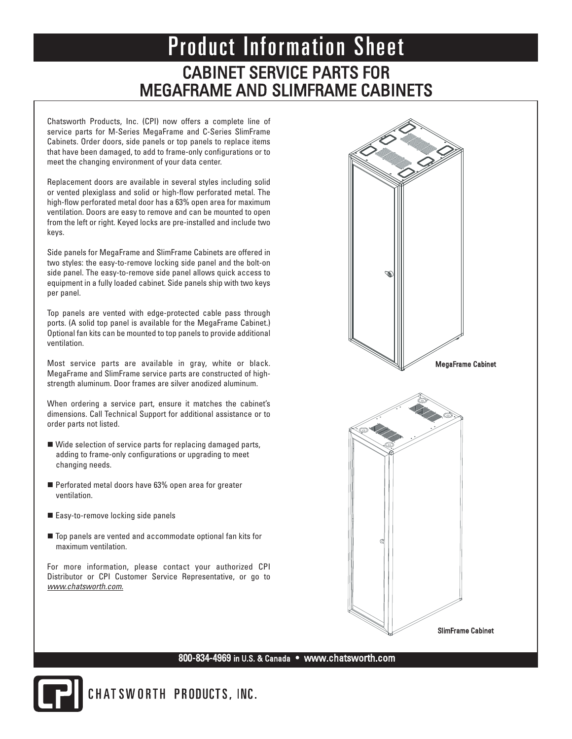# CABINET SERVICE PARTS FOR MEGAFRAME AND SLIMFRAME CABINETS Product Information Sheet

Chatsworth Products, Inc. (CPI) now offers a complete line of service parts for M-Series MegaFrame and C-Series SlimFrame Cabinets. Order doors, side panels or top panels to replace items that have been damaged, to add to frame-only configurations or to meet the changing environment of your data center.

Replacement doors are available in several styles including solid or vented plexiglass and solid or high-flow perforated metal. The high-flow perforated metal door has a 63% open area for maximum ventilation. Doors are easy to remove and can be mounted to open from the left or right. Keyed locks are pre-installed and include two keys.

Side panels for MegaFrame and SlimFrame Cabinets are offered in two styles: the easy-to-remove locking side panel and the bolt-on side panel. The easy-to-remove side panel allows quick access to equipment in a fully loaded cabinet. Side panels ship with two keys per panel.

Top panels are vented with edge-protected cable pass through ports. (A solid top panel is available for the MegaFrame Cabinet.) Optional fan kits can be mounted to top panels to provide additional ventilation.

Most service parts are available in gray, white or black. MegaFrame and SlimFrame service parts are constructed of highstrength aluminum. Door frames are silver anodized aluminum.

When ordering a service part, ensure it matches the cabinet's dimensions. Call Technical Support for additional assistance or to order parts not listed.

- Wide selection of service parts for replacing damaged parts, adding to frame-only configurations or upgrading to meet changing needs.
- Perforated metal doors have 63% open area for greater ventilation.
- Easy-to-remove locking side panels
- Top panels are vented and accommodate optional fan kits for maximum ventilation.

For more information, please contact your authorized CPI Distributor or CPI Customer Service Representative, or go to *www.chatsworth.com.*



#### 800-834-4969 in U.S. & Canada • www.chatsworth.com



CHATSWORTH PRODUCTS, INC.